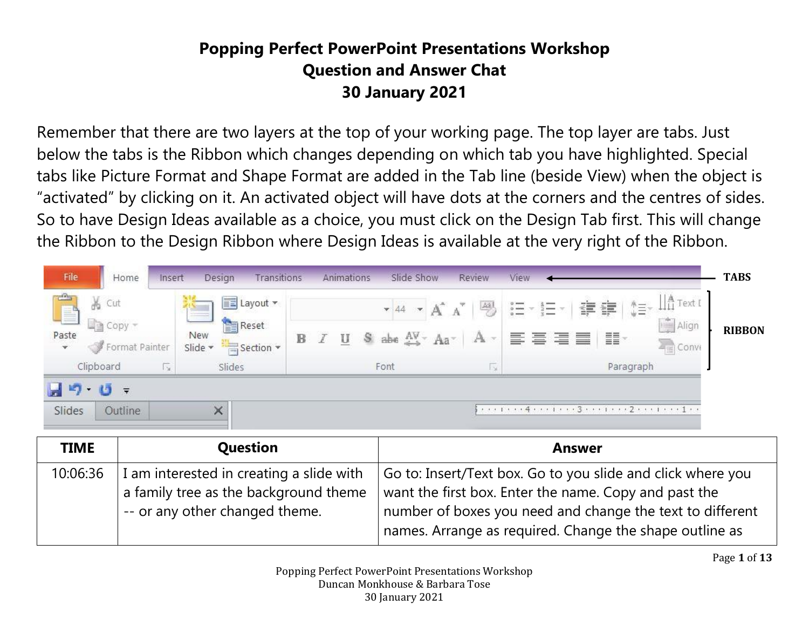## **Popping Perfect PowerPoint Presentations Workshop Question and Answer Chat 30 January 2021**

Remember that there are two layers at the top of your working page. The top layer are tabs. Just below the tabs is the Ribbon which changes depending on which tab you have highlighted. Special tabs like Picture Format and Shape Format are added in the Tab line (beside View) when the object is "activated" by clicking on it. An activated object will have dots at the corners and the centres of sides. So to have Design Ideas available as a choice, you must click on the Design Tab first. This will change the Ribbon to the Design Ribbon where Design Ideas is available at the very right of the Ribbon.



| <b>TIME</b> | Question                                                                                                            | <b>Answer</b>                                                                                                                                                                                                                                |
|-------------|---------------------------------------------------------------------------------------------------------------------|----------------------------------------------------------------------------------------------------------------------------------------------------------------------------------------------------------------------------------------------|
| 10:06:36    | I am interested in creating a slide with<br>a family tree as the background theme<br>-- or any other changed theme. | Go to: Insert/Text box. Go to you slide and click where you<br>want the first box. Enter the name. Copy and past the<br>number of boxes you need and change the text to different<br>names. Arrange as required. Change the shape outline as |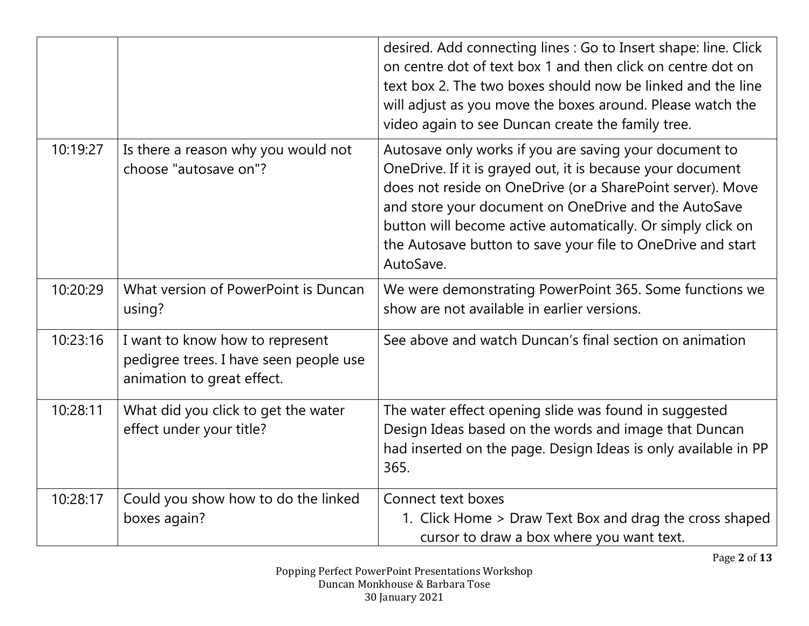|          |                                                                                                         | desired. Add connecting lines : Go to Insert shape: line. Click<br>on centre dot of text box 1 and then click on centre dot on<br>text box 2. The two boxes should now be linked and the line<br>will adjust as you move the boxes around. Please watch the<br>video again to see Duncan create the family tree.                                                                      |
|----------|---------------------------------------------------------------------------------------------------------|---------------------------------------------------------------------------------------------------------------------------------------------------------------------------------------------------------------------------------------------------------------------------------------------------------------------------------------------------------------------------------------|
| 10:19:27 | Is there a reason why you would not<br>choose "autosave on"?                                            | Autosave only works if you are saving your document to<br>OneDrive. If it is grayed out, it is because your document<br>does not reside on OneDrive (or a SharePoint server). Move<br>and store your document on OneDrive and the AutoSave<br>button will become active automatically. Or simply click on<br>the Autosave button to save your file to OneDrive and start<br>AutoSave. |
| 10:20:29 | What version of PowerPoint is Duncan<br>using?                                                          | We were demonstrating PowerPoint 365. Some functions we<br>show are not available in earlier versions.                                                                                                                                                                                                                                                                                |
| 10:23:16 | I want to know how to represent<br>pedigree trees. I have seen people use<br>animation to great effect. | See above and watch Duncan's final section on animation                                                                                                                                                                                                                                                                                                                               |
| 10:28:11 | What did you click to get the water<br>effect under your title?                                         | The water effect opening slide was found in suggested<br>Design Ideas based on the words and image that Duncan<br>had inserted on the page. Design Ideas is only available in PP<br>365.                                                                                                                                                                                              |
| 10:28:17 | Could you show how to do the linked<br>boxes again?                                                     | Connect text boxes<br>1. Click Home > Draw Text Box and drag the cross shaped<br>cursor to draw a box where you want text.                                                                                                                                                                                                                                                            |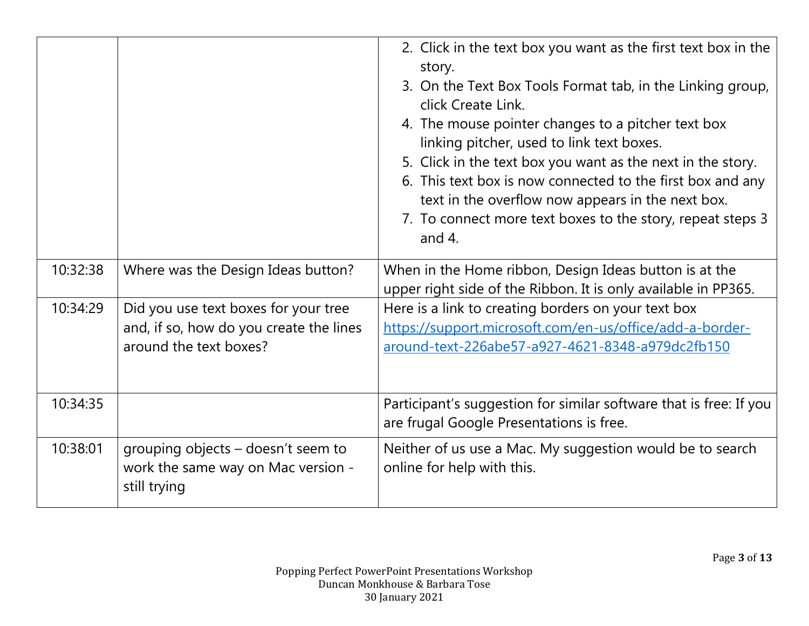|          |                                                                                                           | 2. Click in the text box you want as the first text box in the<br>story.<br>3. On the Text Box Tools Format tab, in the Linking group,<br>click Create Link.<br>4. The mouse pointer changes to a pitcher text box<br>linking pitcher, used to link text boxes.<br>5. Click in the text box you want as the next in the story.<br>6. This text box is now connected to the first box and any<br>text in the overflow now appears in the next box.<br>7. To connect more text boxes to the story, repeat steps 3<br>and $4$ . |
|----------|-----------------------------------------------------------------------------------------------------------|------------------------------------------------------------------------------------------------------------------------------------------------------------------------------------------------------------------------------------------------------------------------------------------------------------------------------------------------------------------------------------------------------------------------------------------------------------------------------------------------------------------------------|
| 10:32:38 | Where was the Design Ideas button?                                                                        | When in the Home ribbon, Design Ideas button is at the<br>upper right side of the Ribbon. It is only available in PP365.                                                                                                                                                                                                                                                                                                                                                                                                     |
| 10:34:29 | Did you use text boxes for your tree<br>and, if so, how do you create the lines<br>around the text boxes? | Here is a link to creating borders on your text box<br>https://support.microsoft.com/en-us/office/add-a-border-<br>around-text-226abe57-a927-4621-8348-a979dc2fb150                                                                                                                                                                                                                                                                                                                                                          |
| 10:34:35 |                                                                                                           | Participant's suggestion for similar software that is free: If you<br>are frugal Google Presentations is free.                                                                                                                                                                                                                                                                                                                                                                                                               |
| 10:38:01 | grouping objects – doesn't seem to<br>work the same way on Mac version -<br>still trying                  | Neither of us use a Mac. My suggestion would be to search<br>online for help with this.                                                                                                                                                                                                                                                                                                                                                                                                                                      |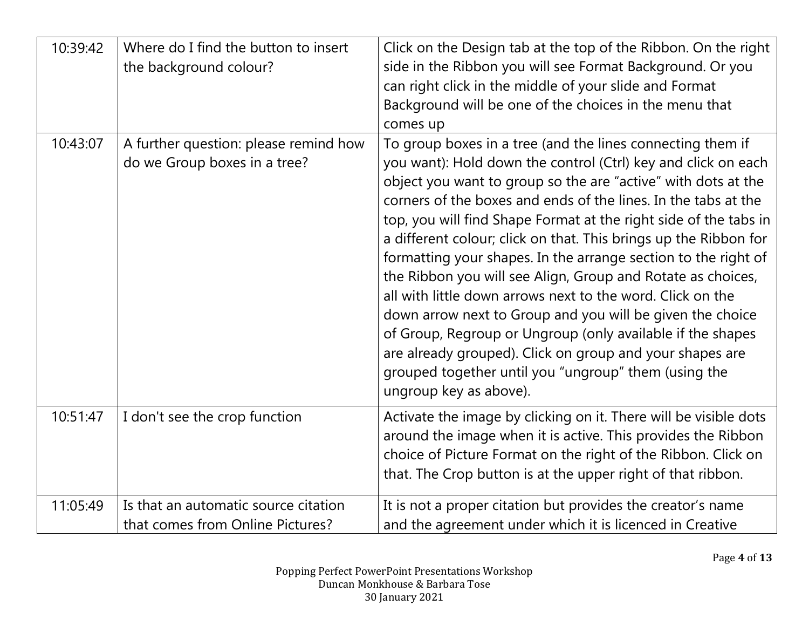| 10:39:42 | Where do I find the button to insert<br>the background colour?           | Click on the Design tab at the top of the Ribbon. On the right<br>side in the Ribbon you will see Format Background. Or you<br>can right click in the middle of your slide and Format<br>Background will be one of the choices in the menu that<br>comes up                                                                                                                                                                                                                                                                                                                                                                                                                                                                                                                                                                                                                    |
|----------|--------------------------------------------------------------------------|--------------------------------------------------------------------------------------------------------------------------------------------------------------------------------------------------------------------------------------------------------------------------------------------------------------------------------------------------------------------------------------------------------------------------------------------------------------------------------------------------------------------------------------------------------------------------------------------------------------------------------------------------------------------------------------------------------------------------------------------------------------------------------------------------------------------------------------------------------------------------------|
| 10:43:07 | A further question: please remind how<br>do we Group boxes in a tree?    | To group boxes in a tree (and the lines connecting them if<br>you want): Hold down the control (Ctrl) key and click on each<br>object you want to group so the are "active" with dots at the<br>corners of the boxes and ends of the lines. In the tabs at the<br>top, you will find Shape Format at the right side of the tabs in<br>a different colour; click on that. This brings up the Ribbon for<br>formatting your shapes. In the arrange section to the right of<br>the Ribbon you will see Align, Group and Rotate as choices,<br>all with little down arrows next to the word. Click on the<br>down arrow next to Group and you will be given the choice<br>of Group, Regroup or Ungroup (only available if the shapes<br>are already grouped). Click on group and your shapes are<br>grouped together until you "ungroup" them (using the<br>ungroup key as above). |
| 10:51:47 | I don't see the crop function                                            | Activate the image by clicking on it. There will be visible dots<br>around the image when it is active. This provides the Ribbon<br>choice of Picture Format on the right of the Ribbon. Click on<br>that. The Crop button is at the upper right of that ribbon.                                                                                                                                                                                                                                                                                                                                                                                                                                                                                                                                                                                                               |
| 11:05:49 | Is that an automatic source citation<br>that comes from Online Pictures? | It is not a proper citation but provides the creator's name<br>and the agreement under which it is licenced in Creative                                                                                                                                                                                                                                                                                                                                                                                                                                                                                                                                                                                                                                                                                                                                                        |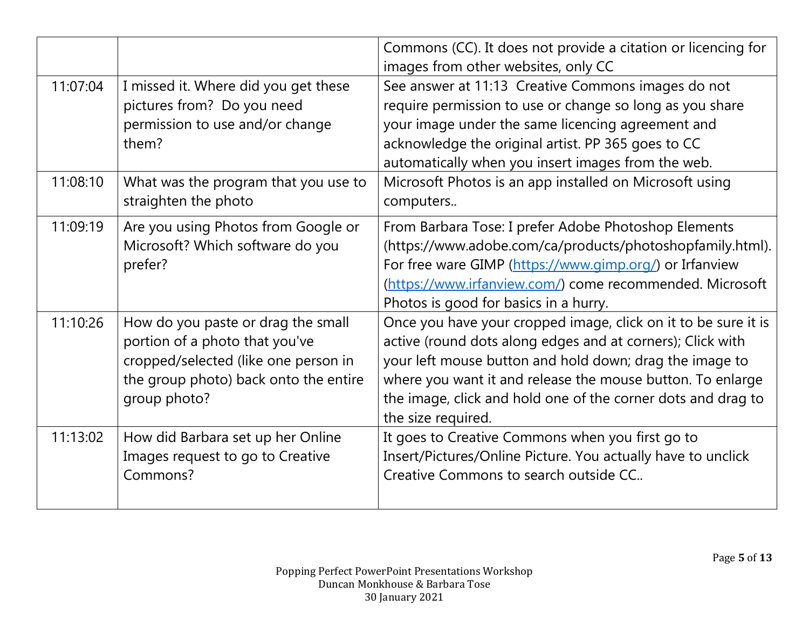|          |                                                                                                                                                                       | Commons (CC). It does not provide a citation or licencing for<br>images from other websites, only CC                                                                                                                                                                                                                                        |
|----------|-----------------------------------------------------------------------------------------------------------------------------------------------------------------------|---------------------------------------------------------------------------------------------------------------------------------------------------------------------------------------------------------------------------------------------------------------------------------------------------------------------------------------------|
| 11:07:04 | I missed it. Where did you get these<br>pictures from? Do you need<br>permission to use and/or change<br>them?                                                        | See answer at 11:13 Creative Commons images do not<br>require permission to use or change so long as you share<br>your image under the same licencing agreement and<br>acknowledge the original artist. PP 365 goes to CC<br>automatically when you insert images from the web.                                                             |
| 11:08:10 | What was the program that you use to<br>straighten the photo                                                                                                          | Microsoft Photos is an app installed on Microsoft using<br>computers                                                                                                                                                                                                                                                                        |
| 11:09:19 | Are you using Photos from Google or<br>Microsoft? Which software do you<br>prefer?                                                                                    | From Barbara Tose: I prefer Adobe Photoshop Elements<br>(https://www.adobe.com/ca/products/photoshopfamily.html).<br>For free ware GIMP (https://www.gimp.org/) or Irfanview<br>(https://www.irfanview.com/) come recommended. Microsoft<br>Photos is good for basics in a hurry.                                                           |
| 11:10:26 | How do you paste or drag the small<br>portion of a photo that you've<br>cropped/selected (like one person in<br>the group photo) back onto the entire<br>group photo? | Once you have your cropped image, click on it to be sure it is<br>active (round dots along edges and at corners); Click with<br>your left mouse button and hold down; drag the image to<br>where you want it and release the mouse button. To enlarge<br>the image, click and hold one of the corner dots and drag to<br>the size required. |
| 11:13:02 | How did Barbara set up her Online<br>Images request to go to Creative<br>Commons?                                                                                     | It goes to Creative Commons when you first go to<br>Insert/Pictures/Online Picture. You actually have to unclick<br>Creative Commons to search outside CC                                                                                                                                                                                   |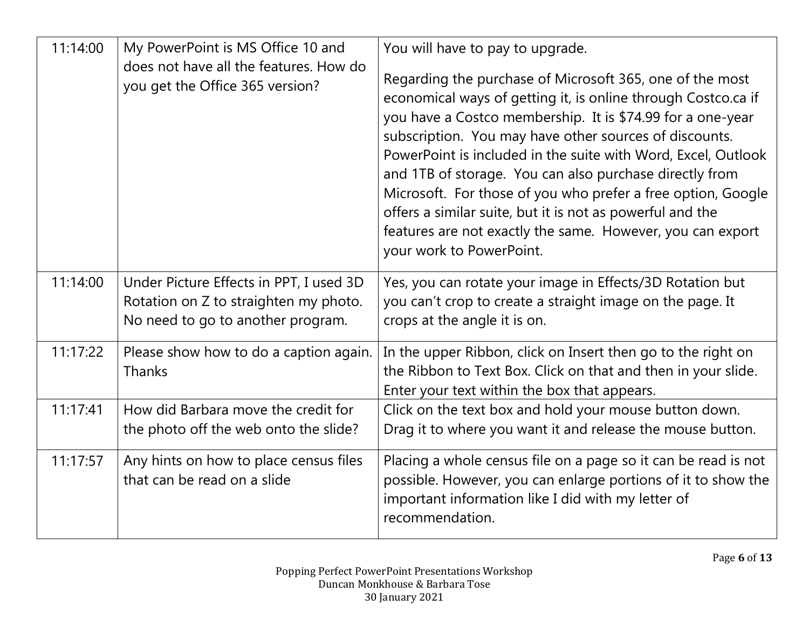| 11:14:00 | My PowerPoint is MS Office 10 and<br>does not have all the features. How do<br>you get the Office 365 version?        | You will have to pay to upgrade.<br>Regarding the purchase of Microsoft 365, one of the most<br>economical ways of getting it, is online through Costco.ca if<br>you have a Costco membership. It is \$74.99 for a one-year<br>subscription. You may have other sources of discounts.<br>PowerPoint is included in the suite with Word, Excel, Outlook<br>and 1TB of storage. You can also purchase directly from<br>Microsoft. For those of you who prefer a free option, Google |
|----------|-----------------------------------------------------------------------------------------------------------------------|-----------------------------------------------------------------------------------------------------------------------------------------------------------------------------------------------------------------------------------------------------------------------------------------------------------------------------------------------------------------------------------------------------------------------------------------------------------------------------------|
|          |                                                                                                                       | offers a similar suite, but it is not as powerful and the<br>features are not exactly the same. However, you can export<br>your work to PowerPoint.                                                                                                                                                                                                                                                                                                                               |
| 11:14:00 | Under Picture Effects in PPT, I used 3D<br>Rotation on Z to straighten my photo.<br>No need to go to another program. | Yes, you can rotate your image in Effects/3D Rotation but<br>you can't crop to create a straight image on the page. It<br>crops at the angle it is on.                                                                                                                                                                                                                                                                                                                            |
| 11:17:22 | Please show how to do a caption again.<br><b>Thanks</b>                                                               | In the upper Ribbon, click on Insert then go to the right on<br>the Ribbon to Text Box. Click on that and then in your slide.<br>Enter your text within the box that appears.                                                                                                                                                                                                                                                                                                     |
| 11:17:41 | How did Barbara move the credit for<br>the photo off the web onto the slide?                                          | Click on the text box and hold your mouse button down.<br>Drag it to where you want it and release the mouse button.                                                                                                                                                                                                                                                                                                                                                              |
| 11:17:57 | Any hints on how to place census files<br>that can be read on a slide                                                 | Placing a whole census file on a page so it can be read is not<br>possible. However, you can enlarge portions of it to show the<br>important information like I did with my letter of<br>recommendation.                                                                                                                                                                                                                                                                          |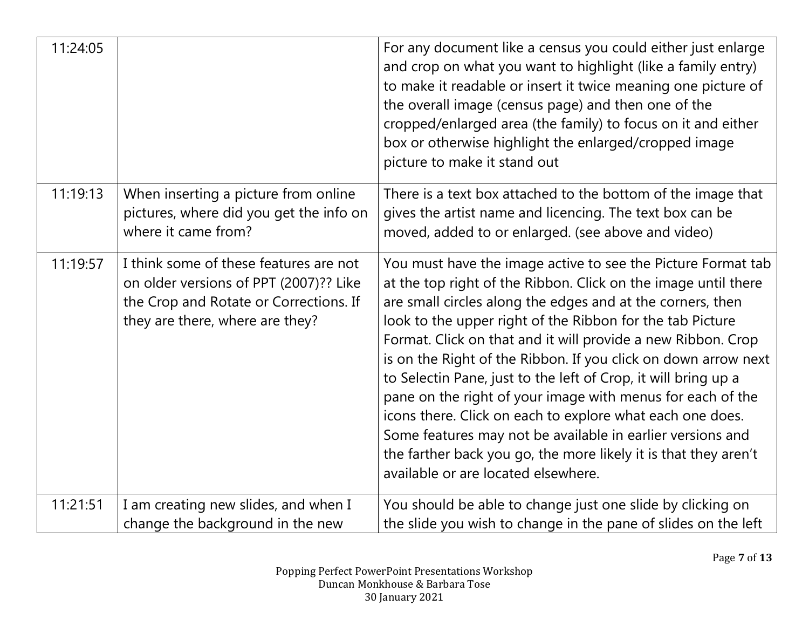| 11:24:05 |                                                                                                                                                               | For any document like a census you could either just enlarge<br>and crop on what you want to highlight (like a family entry)<br>to make it readable or insert it twice meaning one picture of<br>the overall image (census page) and then one of the<br>cropped/enlarged area (the family) to focus on it and either<br>box or otherwise highlight the enlarged/cropped image<br>picture to make it stand out                                                                                                                                                                                                                                                                                                                                                    |
|----------|---------------------------------------------------------------------------------------------------------------------------------------------------------------|------------------------------------------------------------------------------------------------------------------------------------------------------------------------------------------------------------------------------------------------------------------------------------------------------------------------------------------------------------------------------------------------------------------------------------------------------------------------------------------------------------------------------------------------------------------------------------------------------------------------------------------------------------------------------------------------------------------------------------------------------------------|
| 11:19:13 | When inserting a picture from online<br>pictures, where did you get the info on<br>where it came from?                                                        | There is a text box attached to the bottom of the image that<br>gives the artist name and licencing. The text box can be<br>moved, added to or enlarged. (see above and video)                                                                                                                                                                                                                                                                                                                                                                                                                                                                                                                                                                                   |
| 11:19:57 | I think some of these features are not<br>on older versions of PPT (2007)?? Like<br>the Crop and Rotate or Corrections. If<br>they are there, where are they? | You must have the image active to see the Picture Format tab<br>at the top right of the Ribbon. Click on the image until there<br>are small circles along the edges and at the corners, then<br>look to the upper right of the Ribbon for the tab Picture<br>Format. Click on that and it will provide a new Ribbon. Crop<br>is on the Right of the Ribbon. If you click on down arrow next<br>to Selectin Pane, just to the left of Crop, it will bring up a<br>pane on the right of your image with menus for each of the<br>icons there. Click on each to explore what each one does.<br>Some features may not be available in earlier versions and<br>the farther back you go, the more likely it is that they aren't<br>available or are located elsewhere. |
| 11:21:51 | I am creating new slides, and when I<br>change the background in the new                                                                                      | You should be able to change just one slide by clicking on<br>the slide you wish to change in the pane of slides on the left                                                                                                                                                                                                                                                                                                                                                                                                                                                                                                                                                                                                                                     |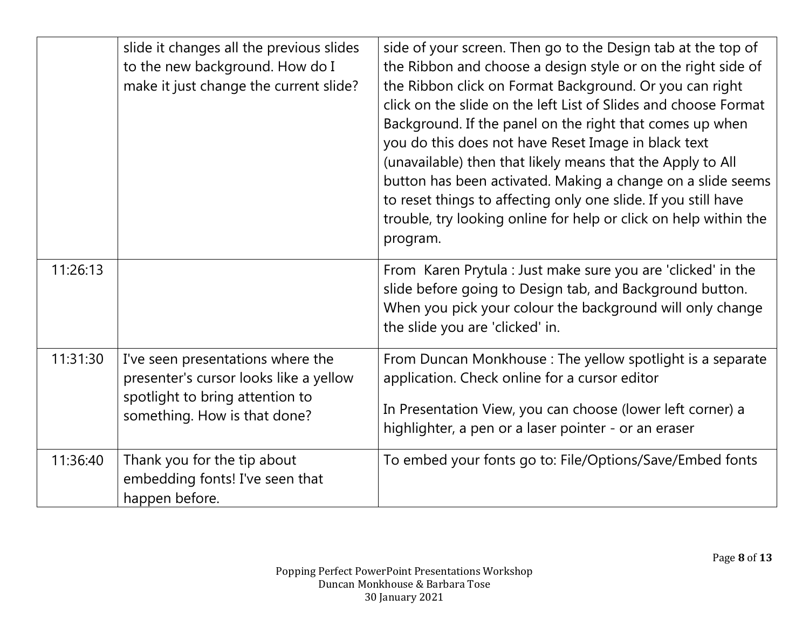|          | slide it changes all the previous slides<br>to the new background. How do I<br>make it just change the current slide?                          | side of your screen. Then go to the Design tab at the top of<br>the Ribbon and choose a design style or on the right side of<br>the Ribbon click on Format Background. Or you can right<br>click on the slide on the left List of Slides and choose Format<br>Background. If the panel on the right that comes up when<br>you do this does not have Reset Image in black text<br>(unavailable) then that likely means that the Apply to All<br>button has been activated. Making a change on a slide seems<br>to reset things to affecting only one slide. If you still have<br>trouble, try looking online for help or click on help within the<br>program. |
|----------|------------------------------------------------------------------------------------------------------------------------------------------------|--------------------------------------------------------------------------------------------------------------------------------------------------------------------------------------------------------------------------------------------------------------------------------------------------------------------------------------------------------------------------------------------------------------------------------------------------------------------------------------------------------------------------------------------------------------------------------------------------------------------------------------------------------------|
| 11:26:13 |                                                                                                                                                | From Karen Prytula : Just make sure you are 'clicked' in the<br>slide before going to Design tab, and Background button.<br>When you pick your colour the background will only change<br>the slide you are 'clicked' in.                                                                                                                                                                                                                                                                                                                                                                                                                                     |
| 11:31:30 | I've seen presentations where the<br>presenter's cursor looks like a yellow<br>spotlight to bring attention to<br>something. How is that done? | From Duncan Monkhouse: The yellow spotlight is a separate<br>application. Check online for a cursor editor<br>In Presentation View, you can choose (lower left corner) a<br>highlighter, a pen or a laser pointer - or an eraser                                                                                                                                                                                                                                                                                                                                                                                                                             |
| 11:36:40 | Thank you for the tip about<br>embedding fonts! I've seen that<br>happen before.                                                               | To embed your fonts go to: File/Options/Save/Embed fonts                                                                                                                                                                                                                                                                                                                                                                                                                                                                                                                                                                                                     |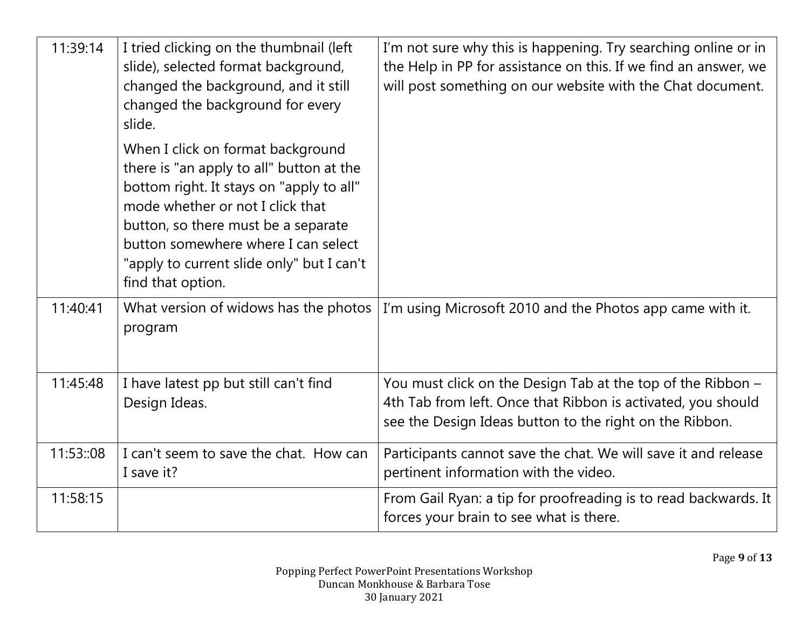| 11:39:14  | I tried clicking on the thumbnail (left<br>slide), selected format background,<br>changed the background, and it still<br>changed the background for every<br>slide.                                                                                                                                          | I'm not sure why this is happening. Try searching online or in<br>the Help in PP for assistance on this. If we find an answer, we<br>will post something on our website with the Chat document. |
|-----------|---------------------------------------------------------------------------------------------------------------------------------------------------------------------------------------------------------------------------------------------------------------------------------------------------------------|-------------------------------------------------------------------------------------------------------------------------------------------------------------------------------------------------|
|           | When I click on format background<br>there is "an apply to all" button at the<br>bottom right. It stays on "apply to all"<br>mode whether or not I click that<br>button, so there must be a separate<br>button somewhere where I can select<br>"apply to current slide only" but I can't<br>find that option. |                                                                                                                                                                                                 |
| 11:40:41  | What version of widows has the photos<br>program                                                                                                                                                                                                                                                              | I'm using Microsoft 2010 and the Photos app came with it.                                                                                                                                       |
| 11:45:48  | I have latest pp but still can't find<br>Design Ideas.                                                                                                                                                                                                                                                        | You must click on the Design Tab at the top of the Ribbon -<br>4th Tab from left. Once that Ribbon is activated, you should<br>see the Design Ideas button to the right on the Ribbon.          |
| 11:53::08 | I can't seem to save the chat. How can<br>I save it?                                                                                                                                                                                                                                                          | Participants cannot save the chat. We will save it and release<br>pertinent information with the video.                                                                                         |
| 11:58:15  |                                                                                                                                                                                                                                                                                                               | From Gail Ryan: a tip for proofreading is to read backwards. It<br>forces your brain to see what is there.                                                                                      |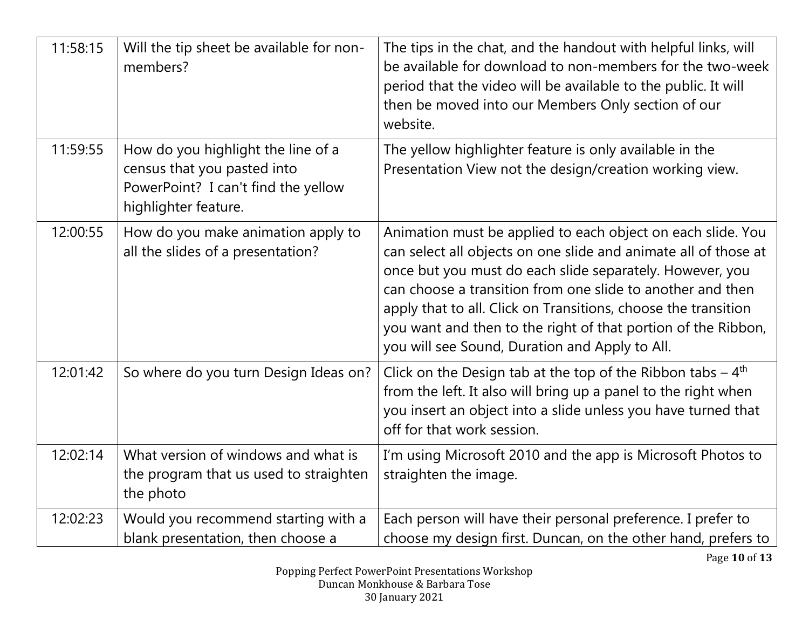| 11:58:15 | Will the tip sheet be available for non-<br>members?                                                                             | The tips in the chat, and the handout with helpful links, will<br>be available for download to non-members for the two-week<br>period that the video will be available to the public. It will<br>then be moved into our Members Only section of our<br>website.                                                                                                                                                                               |
|----------|----------------------------------------------------------------------------------------------------------------------------------|-----------------------------------------------------------------------------------------------------------------------------------------------------------------------------------------------------------------------------------------------------------------------------------------------------------------------------------------------------------------------------------------------------------------------------------------------|
| 11:59:55 | How do you highlight the line of a<br>census that you pasted into<br>PowerPoint? I can't find the yellow<br>highlighter feature. | The yellow highlighter feature is only available in the<br>Presentation View not the design/creation working view.                                                                                                                                                                                                                                                                                                                            |
| 12:00:55 | How do you make animation apply to<br>all the slides of a presentation?                                                          | Animation must be applied to each object on each slide. You<br>can select all objects on one slide and animate all of those at<br>once but you must do each slide separately. However, you<br>can choose a transition from one slide to another and then<br>apply that to all. Click on Transitions, choose the transition<br>you want and then to the right of that portion of the Ribbon,<br>you will see Sound, Duration and Apply to All. |
| 12:01:42 | So where do you turn Design Ideas on?                                                                                            | Click on the Design tab at the top of the Ribbon tabs $-4$ <sup>th</sup><br>from the left. It also will bring up a panel to the right when<br>you insert an object into a slide unless you have turned that<br>off for that work session.                                                                                                                                                                                                     |
| 12:02:14 | What version of windows and what is<br>the program that us used to straighten<br>the photo                                       | I'm using Microsoft 2010 and the app is Microsoft Photos to<br>straighten the image.                                                                                                                                                                                                                                                                                                                                                          |
| 12:02:23 | Would you recommend starting with a<br>blank presentation, then choose a                                                         | Each person will have their personal preference. I prefer to<br>choose my design first. Duncan, on the other hand, prefers to                                                                                                                                                                                                                                                                                                                 |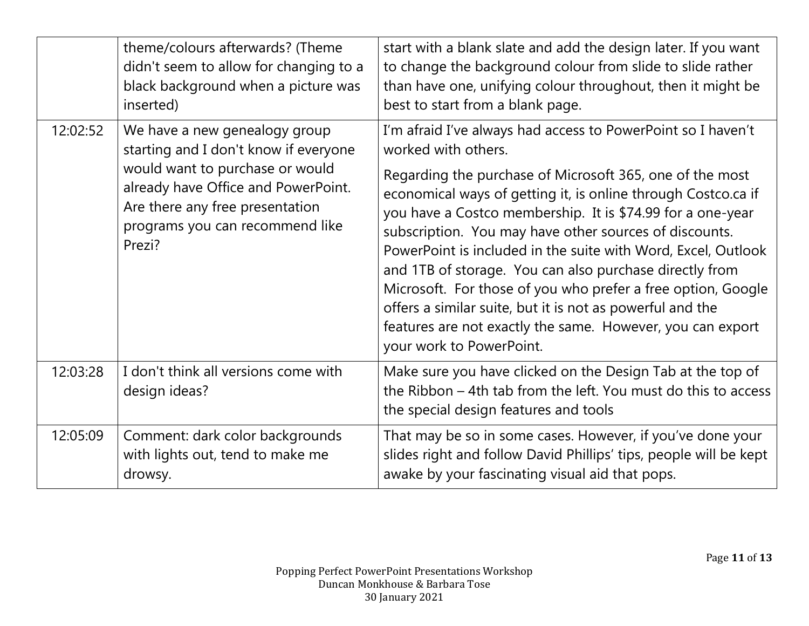|          | theme/colours afterwards? (Theme<br>didn't seem to allow for changing to a<br>black background when a picture was<br>inserted)                                                                                                   | start with a blank slate and add the design later. If you want<br>to change the background colour from slide to slide rather<br>than have one, unifying colour throughout, then it might be<br>best to start from a blank page.                                                                                                                                                                                                                                                                                                                                                                                                                                                             |
|----------|----------------------------------------------------------------------------------------------------------------------------------------------------------------------------------------------------------------------------------|---------------------------------------------------------------------------------------------------------------------------------------------------------------------------------------------------------------------------------------------------------------------------------------------------------------------------------------------------------------------------------------------------------------------------------------------------------------------------------------------------------------------------------------------------------------------------------------------------------------------------------------------------------------------------------------------|
| 12:02:52 | We have a new genealogy group<br>starting and I don't know if everyone<br>would want to purchase or would<br>already have Office and PowerPoint.<br>Are there any free presentation<br>programs you can recommend like<br>Prezi? | I'm afraid I've always had access to PowerPoint so I haven't<br>worked with others.<br>Regarding the purchase of Microsoft 365, one of the most<br>economical ways of getting it, is online through Costco.ca if<br>you have a Costco membership. It is \$74.99 for a one-year<br>subscription. You may have other sources of discounts.<br>PowerPoint is included in the suite with Word, Excel, Outlook<br>and 1TB of storage. You can also purchase directly from<br>Microsoft. For those of you who prefer a free option, Google<br>offers a similar suite, but it is not as powerful and the<br>features are not exactly the same. However, you can export<br>your work to PowerPoint. |
| 12:03:28 | I don't think all versions come with<br>design ideas?                                                                                                                                                                            | Make sure you have clicked on the Design Tab at the top of<br>the Ribbon – 4th tab from the left. You must do this to access<br>the special design features and tools                                                                                                                                                                                                                                                                                                                                                                                                                                                                                                                       |
| 12:05:09 | Comment: dark color backgrounds<br>with lights out, tend to make me<br>drowsy.                                                                                                                                                   | That may be so in some cases. However, if you've done your<br>slides right and follow David Phillips' tips, people will be kept<br>awake by your fascinating visual aid that pops.                                                                                                                                                                                                                                                                                                                                                                                                                                                                                                          |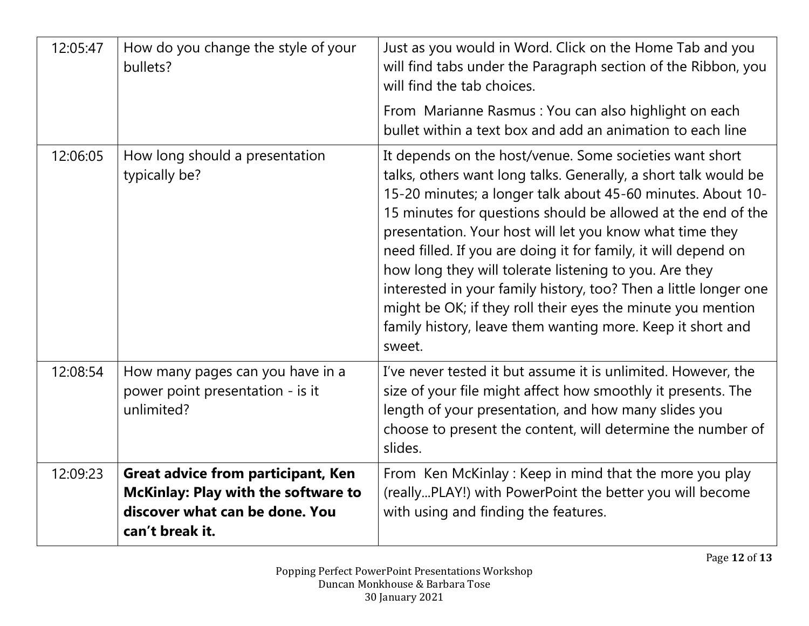| 12:05:47 | How do you change the style of your<br>bullets?                                                                                       | Just as you would in Word. Click on the Home Tab and you<br>will find tabs under the Paragraph section of the Ribbon, you<br>will find the tab choices.                                                                                                                                                                                                                                                                                                                                                                                                                                                                                                      |
|----------|---------------------------------------------------------------------------------------------------------------------------------------|--------------------------------------------------------------------------------------------------------------------------------------------------------------------------------------------------------------------------------------------------------------------------------------------------------------------------------------------------------------------------------------------------------------------------------------------------------------------------------------------------------------------------------------------------------------------------------------------------------------------------------------------------------------|
|          |                                                                                                                                       | From Marianne Rasmus: You can also highlight on each<br>bullet within a text box and add an animation to each line                                                                                                                                                                                                                                                                                                                                                                                                                                                                                                                                           |
| 12:06:05 | How long should a presentation<br>typically be?                                                                                       | It depends on the host/venue. Some societies want short<br>talks, others want long talks. Generally, a short talk would be<br>15-20 minutes; a longer talk about 45-60 minutes. About 10-<br>15 minutes for questions should be allowed at the end of the<br>presentation. Your host will let you know what time they<br>need filled. If you are doing it for family, it will depend on<br>how long they will tolerate listening to you. Are they<br>interested in your family history, too? Then a little longer one<br>might be OK; if they roll their eyes the minute you mention<br>family history, leave them wanting more. Keep it short and<br>sweet. |
| 12:08:54 | How many pages can you have in a<br>power point presentation - is it<br>unlimited?                                                    | I've never tested it but assume it is unlimited. However, the<br>size of your file might affect how smoothly it presents. The<br>length of your presentation, and how many slides you<br>choose to present the content, will determine the number of<br>slides.                                                                                                                                                                                                                                                                                                                                                                                              |
| 12:09:23 | <b>Great advice from participant, Ken</b><br>McKinlay: Play with the software to<br>discover what can be done. You<br>can't break it. | From Ken McKinlay: Keep in mind that the more you play<br>(reallyPLAY!) with PowerPoint the better you will become<br>with using and finding the features.                                                                                                                                                                                                                                                                                                                                                                                                                                                                                                   |